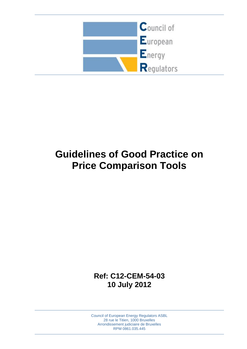

# **Guidelines of Good Practice on Price Comparison Tools**

**Ref: C12-CEM-54-03 10 July 2012**

Council of European Energy Regulators ASBL 28 rue le Titien, 1000 Bruxelles Arrondissement judiciaire de Bruxelles RPM 0861.035.445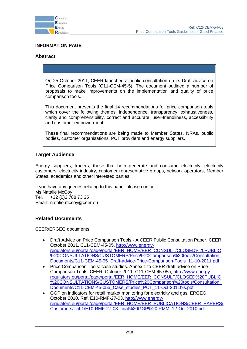

#### **INFORMATION PAGE**

## **Abstract**

On 25 October 2011, CEER launched a public consultation on its Draft advice on Price Comparison Tools (C11-CEM-45-5). The document outlined a number of proposals to make improvements on the implementation and quality of price comparison tools.

This document presents the final 14 recommendations for price comparison tools which cover the following themes: independence, transparency, exhaustiveness, clarity and comprehensibility, correct and accurate, user-friendliness, accessibility and customer empowerment.

These final recommendations are being made to Member States, NRAs, public bodies, customer organisations, PCT providers and energy suppliers.

#### **Target Audience**

Energy suppliers, traders, those that both generate and consume electricity, electricity customers, electricity industry, customer representative groups, network operators, Member States, academics and other interested parties.

If you have any queries relating to this paper please contact: Ms Natalie McCoy Tel. +32 (0)2 788 73 35 Email: natalie.mccoy@ceer.eu

#### **Related Documents**

CEER/ERGEG documents

- Draft Advice on Price Comparison Tools A CEER Public Consultation Paper, CEER, October 2011, C11-CEM-45-05, [http://www.energy](http://www.energy-regulators.eu/portal/page/portal/EER_HOME/EER_CONSULT/CLOSED%20PUBLIC%20CONSULTATIONS/CUSTOMERS/Price%20Comparison%20tools/Consultation_Documents/C11-CEM-45-05_Draft-advice-Price-Comparison-Tools_11-10-2011.pdf)[regulators.eu/portal/page/portal/EER\\_HOME/EER\\_CONSULT/CLOSED%20PUBLIC](http://www.energy-regulators.eu/portal/page/portal/EER_HOME/EER_CONSULT/CLOSED%20PUBLIC%20CONSULTATIONS/CUSTOMERS/Price%20Comparison%20tools/Consultation_Documents/C11-CEM-45-05_Draft-advice-Price-Comparison-Tools_11-10-2011.pdf) [%20CONSULTATIONS/CUSTOMERS/Price%20Comparison%20tools/Consultation\\_](http://www.energy-regulators.eu/portal/page/portal/EER_HOME/EER_CONSULT/CLOSED%20PUBLIC%20CONSULTATIONS/CUSTOMERS/Price%20Comparison%20tools/Consultation_Documents/C11-CEM-45-05_Draft-advice-Price-Comparison-Tools_11-10-2011.pdf) [Documents/C11-CEM-45-05\\_Draft-advice-Price-Comparison-Tools\\_11-10-2011.pdf](http://www.energy-regulators.eu/portal/page/portal/EER_HOME/EER_CONSULT/CLOSED%20PUBLIC%20CONSULTATIONS/CUSTOMERS/Price%20Comparison%20tools/Consultation_Documents/C11-CEM-45-05_Draft-advice-Price-Comparison-Tools_11-10-2011.pdf)
- Price Comparison Tools: case studies. Annex 1 to CEER draft advice on Price Comparison Tools, CEER, October 2011, C11-CEM-45-05a, [http://www.energy](http://www.energy-regulators.eu/portal/page/portal/EER_HOME/EER_CONSULT/CLOSED%20PUBLIC%20CONSULTATIONS/CUSTOMERS/Price%20Comparison%20tools/Consultation_Documents/C11-CEM-45-05a_Case_studies_PCT_11-Oct-2011bis.pdf)[regulators.eu/portal/page/portal/EER\\_HOME/EER\\_CONSULT/CLOSED%20PUBLIC](http://www.energy-regulators.eu/portal/page/portal/EER_HOME/EER_CONSULT/CLOSED%20PUBLIC%20CONSULTATIONS/CUSTOMERS/Price%20Comparison%20tools/Consultation_Documents/C11-CEM-45-05a_Case_studies_PCT_11-Oct-2011bis.pdf) [%20CONSULTATIONS/CUSTOMERS/Price%20Comparison%20tools/Consultation\\_](http://www.energy-regulators.eu/portal/page/portal/EER_HOME/EER_CONSULT/CLOSED%20PUBLIC%20CONSULTATIONS/CUSTOMERS/Price%20Comparison%20tools/Consultation_Documents/C11-CEM-45-05a_Case_studies_PCT_11-Oct-2011bis.pdf) [Documents/C11-CEM-45-05a\\_Case\\_studies\\_PCT\\_11-Oct-2011bis.pdf](http://www.energy-regulators.eu/portal/page/portal/EER_HOME/EER_CONSULT/CLOSED%20PUBLIC%20CONSULTATIONS/CUSTOMERS/Price%20Comparison%20tools/Consultation_Documents/C11-CEM-45-05a_Case_studies_PCT_11-Oct-2011bis.pdf)
- GGP on indicators for retail market monitoring for electricity and gas, ERGEG, October 2010, Ref. E10-RMF-27-03, [http://www.energy](http://www.energy-regulators.eu/portal/page/portal/EER_HOME/EER_PUBLICATIONS/CEER_PAPERS/Customers/Tab1/E10-RMF-27-03_final%20GGP%20IRMM_12-Oct-2010.pdf)[regulators.eu/portal/page/portal/EER\\_HOME/EER\\_PUBLICATIONS/CEER\\_PAPERS/](http://www.energy-regulators.eu/portal/page/portal/EER_HOME/EER_PUBLICATIONS/CEER_PAPERS/Customers/Tab1/E10-RMF-27-03_final%20GGP%20IRMM_12-Oct-2010.pdf) [Customers/Tab1/E10-RMF-27-03\\_final%20GGP%20IRMM\\_12-Oct-2010.pdf](http://www.energy-regulators.eu/portal/page/portal/EER_HOME/EER_PUBLICATIONS/CEER_PAPERS/Customers/Tab1/E10-RMF-27-03_final%20GGP%20IRMM_12-Oct-2010.pdf)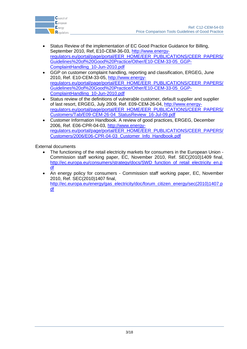

- Status Review of the implementation of EC Good Practice Guidance for Billing, September 2010, Ref, E10-CEM-36-03, [http://www.energy](http://www.energy-regulators.eu/portal/page/portal/EER_HOME/EER_PUBLICATIONS/CEER_PAPERS/Guidelines%20of%20Good%20Practice/Other/E10-CEM-33-05_GGP-ComplaintHandling_10-Jun-2010.pdf)[regulators.eu/portal/page/portal/EER\\_HOME/EER\\_PUBLICATIONS/CEER\\_PAPERS/](http://www.energy-regulators.eu/portal/page/portal/EER_HOME/EER_PUBLICATIONS/CEER_PAPERS/Guidelines%20of%20Good%20Practice/Other/E10-CEM-33-05_GGP-ComplaintHandling_10-Jun-2010.pdf) [Guidelines%20of%20Good%20Practice/Other/E10-CEM-33-05\\_GGP-](http://www.energy-regulators.eu/portal/page/portal/EER_HOME/EER_PUBLICATIONS/CEER_PAPERS/Guidelines%20of%20Good%20Practice/Other/E10-CEM-33-05_GGP-ComplaintHandling_10-Jun-2010.pdf)[ComplaintHandling\\_10-Jun-2010.pdf](http://www.energy-regulators.eu/portal/page/portal/EER_HOME/EER_PUBLICATIONS/CEER_PAPERS/Guidelines%20of%20Good%20Practice/Other/E10-CEM-33-05_GGP-ComplaintHandling_10-Jun-2010.pdf)
- GGP on customer complaint handling, reporting and classification, ERGEG, June 2010, Ref. E10-CEM-33-05, [http://www.energy](http://www.energy-regulators.eu/portal/page/portal/EER_HOME/EER_PUBLICATIONS/CEER_PAPERS/Guidelines%20of%20Good%20Practice/Other/E10-CEM-33-05_GGP-ComplaintHandling_10-Jun-2010.pdf)[regulators.eu/portal/page/portal/EER\\_HOME/EER\\_PUBLICATIONS/CEER\\_PAPERS/](http://www.energy-regulators.eu/portal/page/portal/EER_HOME/EER_PUBLICATIONS/CEER_PAPERS/Guidelines%20of%20Good%20Practice/Other/E10-CEM-33-05_GGP-ComplaintHandling_10-Jun-2010.pdf) [Guidelines%20of%20Good%20Practice/Other/E10-CEM-33-05\\_GGP-](http://www.energy-regulators.eu/portal/page/portal/EER_HOME/EER_PUBLICATIONS/CEER_PAPERS/Guidelines%20of%20Good%20Practice/Other/E10-CEM-33-05_GGP-ComplaintHandling_10-Jun-2010.pdf)[ComplaintHandling\\_10-Jun-2010.pdf](http://www.energy-regulators.eu/portal/page/portal/EER_HOME/EER_PUBLICATIONS/CEER_PAPERS/Guidelines%20of%20Good%20Practice/Other/E10-CEM-33-05_GGP-ComplaintHandling_10-Jun-2010.pdf)
- Status review of the definitions of vulnerable customer, default supplier and supplier of last resort, ERGEG, July 2009, Ref. E09-CEM-26-04, [http://www.energy](http://www.energy-regulators.eu/portal/page/portal/EER_HOME/EER_PUBLICATIONS/CEER_PAPERS/Customers/Tab/E09-CEM-26-04_StatusReview_16-Jul-09.pdf)[regulators.eu/portal/page/portal/EER\\_HOME/EER\\_PUBLICATIONS/CEER\\_PAPERS/](http://www.energy-regulators.eu/portal/page/portal/EER_HOME/EER_PUBLICATIONS/CEER_PAPERS/Customers/Tab/E09-CEM-26-04_StatusReview_16-Jul-09.pdf) [Customers/Tab/E09-CEM-26-04\\_StatusReview\\_16-Jul-09.pdf](http://www.energy-regulators.eu/portal/page/portal/EER_HOME/EER_PUBLICATIONS/CEER_PAPERS/Customers/Tab/E09-CEM-26-04_StatusReview_16-Jul-09.pdf)
- Customer Information Handbook. A review of good practices, ERGEG, December 2006, Ref. E06-CPR-04-03, [http://www.energy](http://www.energy-regulators.eu/portal/page/portal/EER_HOME/EER_PUBLICATIONS/CEER_PAPERS/Customers/2006/E06-CPR-04-03_Customer_Info_Handbook.pdf)[regulators.eu/portal/page/portal/EER\\_HOME/EER\\_PUBLICATIONS/CEER\\_PAPERS/](http://www.energy-regulators.eu/portal/page/portal/EER_HOME/EER_PUBLICATIONS/CEER_PAPERS/Customers/2006/E06-CPR-04-03_Customer_Info_Handbook.pdf) [Customers/2006/E06-CPR-04-03\\_Customer\\_Info\\_Handbook.pdf](http://www.energy-regulators.eu/portal/page/portal/EER_HOME/EER_PUBLICATIONS/CEER_PAPERS/Customers/2006/E06-CPR-04-03_Customer_Info_Handbook.pdf)

External documents

- The functioning of the retail electricity markets for consumers in the European Union Commission staff working paper, EC, November 2010, Ref. SEC(2010)1409 final, [http://ec.europa.eu/consumers/strategy/docs/SWD\\_function\\_of\\_retail\\_electricity\\_en.p](http://ec.europa.eu/consumers/strategy/docs/SWD_function_of_retail_electricity_en.pdf) [df](http://ec.europa.eu/consumers/strategy/docs/SWD_function_of_retail_electricity_en.pdf)
- An energy policy for consumers Commission staff working paper, EC, November 2010, Ref. SEC(2010)1407 final, [http://ec.europa.eu/energy/gas\\_electricity/doc/forum\\_citizen\\_energy/sec\(2010\)1407.p](http://ec.europa.eu/energy/gas_electricity/doc/forum_citizen_energy/sec(2010)1407.pdf) [df](http://ec.europa.eu/energy/gas_electricity/doc/forum_citizen_energy/sec(2010)1407.pdf)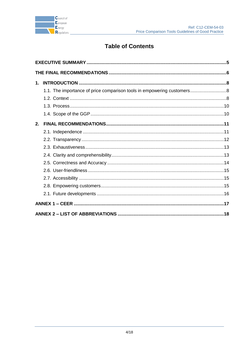

# **Table of Contents**

| $\mathbf 1$ . |                                                                        |  |  |
|---------------|------------------------------------------------------------------------|--|--|
|               | 1.1. The importance of price comparison tools in empowering customers8 |  |  |
|               |                                                                        |  |  |
|               |                                                                        |  |  |
|               |                                                                        |  |  |
| 2.            |                                                                        |  |  |
|               |                                                                        |  |  |
|               |                                                                        |  |  |
|               |                                                                        |  |  |
|               |                                                                        |  |  |
|               |                                                                        |  |  |
|               |                                                                        |  |  |
|               |                                                                        |  |  |
|               |                                                                        |  |  |
|               |                                                                        |  |  |
|               |                                                                        |  |  |
|               |                                                                        |  |  |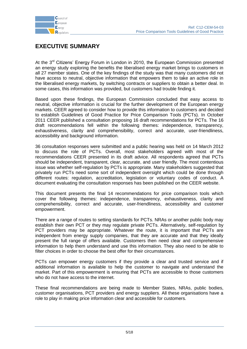

## <span id="page-4-0"></span>**EXECUTIVE SUMMARY**

At the 3<sup>rd</sup> Citizens' Energy Forum in London in 2010, the European Commission presented an energy study exploring the benefits the liberalised energy market brings to customers in all 27 member states. One of the key findings of the study was that many customers did not have access to neutral, objective information that empowers them to take an active role in the liberalised energy markets, by switching contracts or suppliers to obtain a better deal. In some cases, this information was provided, but customers had trouble finding it.

Based upon these findings, the European Commission concluded that easy access to neutral, objective information is crucial for the further development of the European energy markets. CEER agreed to consider how to provide this information to customers and decided to establish Guidelines of Good Practice for Price Comparison Tools (PCTs). In October 2011 CEER published a consultation proposing 16 draft recommendations for PCTs. The 16 draft recommendations fell within the following themes: independence, transparency, exhaustiveness, clarity and comprehensibility, correct and accurate, user-friendliness, accessibility and background information.

36 consultation responses were submitted and a public hearing was held on 14 March 2012 to discuss the role of PCTs. Overall, most stakeholders agreed with most of the recommendations CEER presented in its draft advice. All respondents agreed that PCTs should be independent, transparent, clear, accurate, and user friendly. The most contentious issue was whether self-regulation by PCTs is appropriate. Many stakeholders suggested that privately run PCTs need some sort of independent oversight which could be done through different routes: regulation, accreditation, legislation or voluntary codes of conduct. A document evaluating the consultation responses has been published on the CEER website.

This document presents the final 14 recommendations for price comparison tools which cover the following themes: independence, transparency, exhaustiveness, clarity and comprehensibility, correct and accurate, user-friendliness, accessibility and customer empowerment.

There are a range of routes to setting standards for PCTs. NRAs or another public body may establish their own PCT or they may regulate private PCTs. Alternatively, self-regulation by PCT providers may be appropriate. Whatever the route, it is important that PCTs are independent from energy supply companies, that they are accurate and that they ideally present the full range of offers available. Customers then need clear and comprehensive information to help them understand and use this information. They also need to be able to filter choices in order to choose the best offer for their circumstances.

PCTs can empower energy customers if they provide a clear and trusted service and if additional information is available to help the customer to navigate and understand the market. Part of this empowerment is ensuring that PCTs are accessible to those customers who do not have access to the internet.

These final recommendations are being made to Member States, NRAs, public bodies, customer organisations, PCT providers and energy suppliers. All these organisations have a role to play in making price information clear and accessible for customers.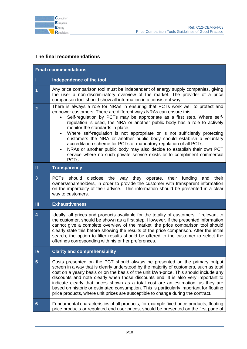

## <span id="page-5-0"></span>**The final recommendations**

| <b>Final recommendations</b> |                                                                                                                                                                                                                                                                                                                                                                                                                                                                                                                                                                                                                                                                                                                                                                                   |  |  |  |
|------------------------------|-----------------------------------------------------------------------------------------------------------------------------------------------------------------------------------------------------------------------------------------------------------------------------------------------------------------------------------------------------------------------------------------------------------------------------------------------------------------------------------------------------------------------------------------------------------------------------------------------------------------------------------------------------------------------------------------------------------------------------------------------------------------------------------|--|--|--|
| I                            | Independence of the tool                                                                                                                                                                                                                                                                                                                                                                                                                                                                                                                                                                                                                                                                                                                                                          |  |  |  |
| 1                            | Any price comparison tool must be independent of energy supply companies, giving<br>the user a non-discriminatory overview of the market. The provider of a price<br>comparison tool should show all information in a consistent way.                                                                                                                                                                                                                                                                                                                                                                                                                                                                                                                                             |  |  |  |
| $\overline{2}$               | There is always a role for NRAs in ensuring that PCTs work well to protect and<br>empower customers. There are different ways NRAs can ensure this:<br>Self-regulation by PCTs may be appropriate as a first step. Where self-<br>regulation is used, the NRA or another public body has a role to actively<br>monitor the standards in place.<br>Where self-regulation is not appropriate or is not sufficiently protecting<br>$\bullet$<br>customers the NRA or another public body should establish a voluntary<br>accreditation scheme for PCTs or mandatory regulation of all PCTs.<br>NRAs or another public body may also decide to establish their own PCT<br>$\bullet$<br>service where no such private service exists or to compliment commercial<br>PCT <sub>s</sub> . |  |  |  |
| Ш                            | <b>Transparency</b>                                                                                                                                                                                                                                                                                                                                                                                                                                                                                                                                                                                                                                                                                                                                                               |  |  |  |
| 3                            | PCTs should disclose the way they operate, their funding and their<br>owners/shareholders, in order to provide the customer with transparent information<br>on the impartiality of their advice. This information should be presented in a clear<br>way to customers.                                                                                                                                                                                                                                                                                                                                                                                                                                                                                                             |  |  |  |
| $\mathbf{m}$                 | <b>Exhaustiveness</b>                                                                                                                                                                                                                                                                                                                                                                                                                                                                                                                                                                                                                                                                                                                                                             |  |  |  |
| $\overline{\bf 4}$           | Ideally, all prices and products available for the totality of customers, if relevant to<br>the customer, should be shown as a first step. However, if the presented information<br>cannot give a complete overview of the market, the price comparison tool should<br>clearly state this before showing the results of the price comparison. After the initial<br>search, the option to filter results should be offered to the customer to select the<br>offerings corresponding with his or her preferences.                                                                                                                                                                                                                                                                   |  |  |  |
| IV                           | <b>Clarity and comprehensibility</b>                                                                                                                                                                                                                                                                                                                                                                                                                                                                                                                                                                                                                                                                                                                                              |  |  |  |
| $\overline{5}$               | Costs presented on the PCT should always be presented on the primary output<br>screen in a way that is clearly understood by the majority of customers, such as total<br>cost on a yearly basis or on the basis of the unit kWh-price. This should include any<br>discounts and note clearly when those discounts end. It is also very important to<br>indicate clearly that prices shown as a total cost are an estimation, as they are<br>based on historic or estimated consumption. This is particularly important for floating<br>price products, where unit prices are susceptible to change during the contract.                                                                                                                                                           |  |  |  |
| $6\phantom{1}$               | Fundamental characteristics of all products, for example fixed price products, floating<br>price products or regulated end user prices, should be presented on the first page of                                                                                                                                                                                                                                                                                                                                                                                                                                                                                                                                                                                                  |  |  |  |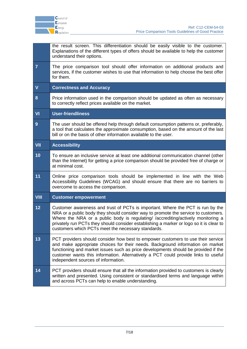

|                          | the result screen. This differentiation should be easily visible to the customer.<br>Explanations of the different types of offers should be available to help the customer<br>understand their options.                                                                                                                                                                                                  |  |
|--------------------------|-----------------------------------------------------------------------------------------------------------------------------------------------------------------------------------------------------------------------------------------------------------------------------------------------------------------------------------------------------------------------------------------------------------|--|
| $\overline{7}$           | The price comparison tool should offer information on additional products and<br>services, if the customer wishes to use that information to help choose the best offer<br>for them.                                                                                                                                                                                                                      |  |
| $\mathbf V$              | <b>Correctness and Accuracy</b>                                                                                                                                                                                                                                                                                                                                                                           |  |
| 8                        | Price information used in the comparison should be updated as often as necessary<br>to correctly reflect prices available on the market.                                                                                                                                                                                                                                                                  |  |
| $\overline{\mathsf{VI}}$ | <b>User-friendliness</b>                                                                                                                                                                                                                                                                                                                                                                                  |  |
| 9                        | The user should be offered help through default consumption patterns or, preferably,<br>a tool that calculates the approximate consumption, based on the amount of the last<br>bill or on the basis of other information available to the user.                                                                                                                                                           |  |
| <b>VII</b>               | <b>Accessibility</b>                                                                                                                                                                                                                                                                                                                                                                                      |  |
| 10                       | To ensure an inclusive service at least one additional communication channel (other<br>than the Internet) for getting a price comparison should be provided free of charge or<br>at minimal cost.                                                                                                                                                                                                         |  |
| 11                       | Online price comparison tools should be implemented in line with the Web<br>Accessibility Guidelines (WCAG) and should ensure that there are no barriers to<br>overcome to access the comparison.                                                                                                                                                                                                         |  |
| <b>VIII</b>              | <b>Customer empowerment</b>                                                                                                                                                                                                                                                                                                                                                                               |  |
| 12                       | Customer awareness and trust of PCTs is important. Where the PCT is run by the<br>NRA or a public body they should consider way to promote the service to customers.<br>Where the NRA or a public body is regulating/ /accrediting/actively monitoring a<br>privately run PCTs they should consider establishing a marker or logo so it is clear to<br>customers which PCTs meet the necessary standards. |  |
| 13                       | PCT providers should consider how best to empower customers to use their service<br>and make appropriate choices for their needs. Background information on market<br>functioning and market issues such as price developments should be provided if the<br>customer wants this information. Alternatively a PCT could provide links to useful<br>independent sources of information.                     |  |
| 14                       | PCT providers should ensure that all the information provided to customers is clearly<br>written and presented. Using consistent or standardised terms and language within<br>and across PCTs can help to enable understanding.                                                                                                                                                                           |  |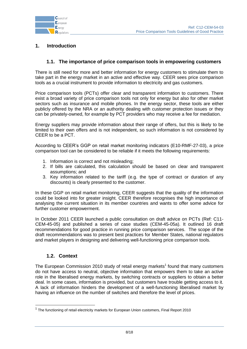

## <span id="page-7-0"></span>**1. Introduction**

## **1.1. The importance of price comparison tools in empowering customers**

<span id="page-7-1"></span>There is still need for more and better information for energy customers to stimulate them to take part in the energy market in an active and effective way. CEER sees price comparison tools as a crucial instrument to provide information to electricity and gas customers.

Price comparison tools (PCTs) offer clear and transparent information to customers. There exist a broad variety of price comparison tools not only for energy but also for other market sectors such as insurance and mobile phones. In the energy sector, these tools are either publicly offered by the NRA or an authority dealing with customer protection issues or they can be privately-owned, for example by PCT providers who may receive a fee for mediation.

Energy suppliers may provide information about their range of offers, but this is likely to be limited to their own offers and is not independent, so such information is not considered by CEER to be a PCT.

According to CEER"s GGP on retail market monitoring indicators (E10-RMF-27-03), a price comparison tool can be considered to be reliable if it meets the following requirements:

- 1. Information is correct and not misleading;
- 2. If bills are calculated, this calculation should be based on clear and transparent assumptions; and
- 3. Key information related to the tariff (e.g. the type of contract or duration of any discounts) is clearly presented to the customer.

In these GGP on retail market monitoring, CEER suggests that the quality of the information could be looked into for greater insight. CEER therefore recognises the high importance of analysing the current situation in its member countries and wants to offer some advice for further customer empowerment.

In October 2011 CEER launched a public consultation on draft advice on PCTs (Ref: C11- CEM-45-05) and published a series of case studies (CEM-45-05a). It outlined 16 draft recommendations for good practice in running price comparison services. The scope of the draft recommendations was to present best practices for Member States, national regulators and market players in designing and delivering well-functioning price comparison tools.

## **1.2. Context**

1

<span id="page-7-2"></span>The European Commission 2010 study of retail energy markets<sup>1</sup> found that many customers do not have access to neutral, objective information that empowers them to take an active role in the liberalised energy markets, by switching contracts or suppliers to obtain a better deal. In some cases, information is provided, but customers have trouble getting access to it. A lack of information hinders the development of a well-functioning liberalised market by having an influence on the number of switches and therefore the level of prices.

 $1$  The functioning of retail electricity markets for European Union customers, Final Report 2010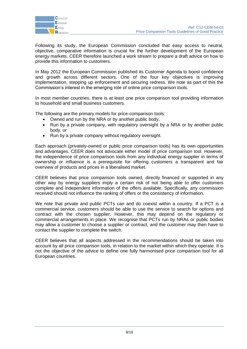

Following its study, the European Commission concluded that easy access to neutral, objective, comparative information is crucial for the further development of the European energy markets. CEER therefore launched a work stream to prepare a draft advice on how to provide this information to customers.

In May 2012 the European Commission published its Customer Agenda to boost confidence and growth across different sectors. One of the four key objectives is improving implementation, stepping up enforcement and securing redress. We note as part of this the Commission's interest in the emerging role of online price comparison tools.

In most member countries, there is at least one price comparison tool providing information to household and small business customers.

The following are the primary models for price-comparison tools:

- Owned and run by the NRA or by another public body,
- Run by a private company, with regulatory oversight by a NRA or by another public body, or
- Run by a private company without regulatory oversight.

Each approach (privately-owned or public price comparison tools) has its own opportunities and advantages. CEER does not advocate either model of price comparison tool. However, the independence of price comparison tools from any individual energy supplier in terms of ownership or influence is a prerequisite for offering customers a transparent and fair overview of products and prices in a liberalised market.

CEER believes that price comparison tools owned, directly financed or supported in any other way by energy suppliers imply a certain risk of not being able to offer customers complete and independent information of the offers available. Specifically, any commission received should not influence the ranking of offers or the consistency of information.

We note that private and public PCTs can and do coexist within a country. If a PCT is a commercial service, customers should be able to use the service to search for options and contract with the chosen supplier. However, this may depend on the regulatory or commercial arrangements in place. We recognise that PCTs run by NRAs or public bodies may allow a customer to choose a supplier or contract, and the customer may then have to contact the supplier to complete the switch.

CEER believes that all aspects addressed in the recommendations should be taken into account by all price comparison tools, in relation to the market within which they operate. It is not the objective of the advice to define one fully harmonised price comparison tool for all European countries.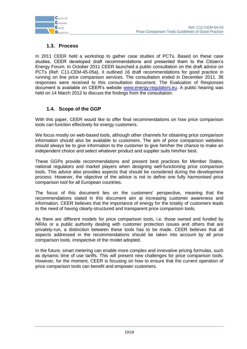

## **1.3. Process**

<span id="page-9-0"></span>In 2011 CEER held a workshop to gather case studies of PCTs. Based on these case studies, CEER developed draft recommendations and presented them to the Citizen"s Energy Forum. In October 2011 CEER launched a public consultation on the draft advice on PCTs (Ref: C11-CEM-45-05a). It outlined 16 draft recommendations for good practice in running on line price comparison services. The consultation ended in December 2011. 36 responses were received to this consultation document. The Evaluation of Responses document is available on CEER's website [www.energy-regulators.eu.](http://www.energy-regulators.eu/) A public hearing was held on 14 March 2012 to discuss the findings from the consultation.

## **1.4. Scope of the GGP**

<span id="page-9-1"></span>With this paper, CEER would like to offer final recommendations on how price comparison tools can function effectively for energy customers.

We focus mostly on web-based tools, although other channels for obtaining price comparison information should also be available to customers. The aim of price comparison websites should always be to give information to the customer to give him/her the chance to make an independent choice and select whatever product and supplier suits him/her best.

These GGPs provide recommendations and present best practices for Member States, national regulators and market players when designing well-functioning price comparison tools. This advice also provides aspects that should be considered during the development process. However, the objective of the advice is not to define one fully harmonised price comparison tool for all European countries.

The focus of this document lies on the customers' perspective, meaning that the recommendations stated in this document aim at increasing customer awareness and information. CEER believes that the importance of energy for the totality of customers leads to the need of having clearly-structured and transparent price comparison tools.

As there are different models for price comparison tools, i.e. those owned and funded by NRAs or a public authority dealing with customer protection issues and others that are privately-run, a distinction between these tools has to be made. CEER believes that all aspects addressed in the recommendations should be taken into account by all price comparison tools, irrespective of the model adopted.

In the future, smart metering can enable more complex and innovative pricing formulas, such as dynamic time of use tariffs. This will present new challenges for price comparison tools. However, for the moment, CEER is focusing on how to ensure that the current operation of price comparison tools can benefit and empower customers.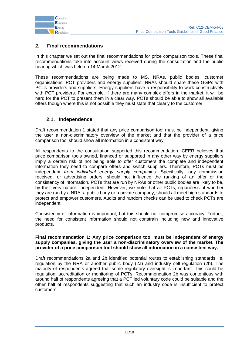

## <span id="page-10-0"></span>**2. Final recommendations**

In this chapter we set out the final recommendations for price comparison tools. These final recommendations take into account views received during the consultation and the public hearing which was held on 14 March 2012.

These recommendations are being made to MS, NRAs, public bodies, customer organisations, PCT providers and energy suppliers. NRAs should share these GGPs with PCTs providers and suppliers. Energy suppliers have a responsibility to work constructively with PCT providers. For example, if there are many complex offers in the market, it will be hard for the PCT to present them in a clear way. PCTs should be able to show all available offers though where this is not possible they must state that clearly to the customer.

## **2.1. Independence**

<span id="page-10-1"></span>Draft recommendation 1 stated that any price comparison tool must be independent, giving the user a non-discriminatory overview of the market and that the provider of a price comparison tool should show all information in a consistent way.

All respondents to the consultation supported this recommendation. CEER believes that price comparison tools owned, financed or supported in any other way by energy suppliers imply a certain risk of not being able to offer customers the complete and independent information they need to compare offers and switch suppliers. Therefore, PCTs must be independent *from individual energy supply companies*. Specifically, any commission received, or advertising orders, should not influence the ranking of an offer or the consistency of information. PCTs that are run by NRAs or other public bodies are likely to be, by their very nature, independent. However, we note that all PCTs, regardless of whether they are run by a NRA, a public body or a private company, should all meet high standards to protect and empower customers. Audits and random checks can be used to check PCTs are independent.

Consistency of information is important, but this should not compromise accuracy. Further, the need for consistent information should not constrain including new and innovative products.

#### **Final recommendation 1: Any price comparison tool must be independent of energy supply companies, giving the user a non-discriminatory overview of the market. The provider of a price comparison tool should show all information in a consistent way.**

Draft recommendations 2a and 2b identified potential routes to establishing standards i.e. regulation by the NRA or another public body (2a) and industry self-regulation (2b). The majority of respondents agreed that some regulatory oversight is important. This could be regulation, accreditation or monitoring of PCTs. Recommendation 2b was contentious with around half of respondents agreeing that a PCT led voluntary code could be suitable and the other half of respondents suggesting that such an industry code is insufficient to protect customers.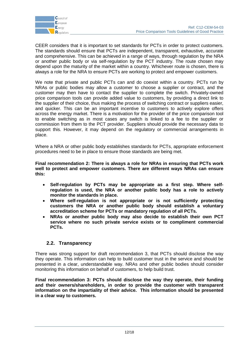

CEER considers that it is important to set standards for PCTs in order to protect customers. The standards should ensure that PCTs are independent, transparent, exhaustive, accurate and comprehensive. This can be achieved in a range of ways, through regulation by the NRA or another public body or via self-regulation by the PCT industry. The route chosen may depend upon the maturity of the market within a country. Whichever route is chosen, there is always a role for the NRA to ensure PCTs are working to protect and empower customers.

We note that private and public PCTs can and do coexist within a country. PCTs run by NRAs or public bodies may allow a customer to choose a supplier or contract, and the customer may then have to contact the supplier to complete the switch. Privately-owned price comparison tools can provide added value to customers, by providing a direct link to the supplier of their choice, thus making the process of switching contract or suppliers easier, and quicker. This can be an important incentive to customers to actively explore offers across the energy market. There is a motivation for the provider of the price comparison tool to enable switching as in most cases any switch is linked to a fee to the supplier or commission from them to the PCT provider. Suppliers should provide the necessary data to support this. However, it may depend on the regulatory or commercial arrangements in place.

Where a NRA or other public body establishes standards for PCTs, appropriate enforcement procedures need to be in place to ensure those standards are being met.

**Final recommendation 2: There is always a role for NRAs in ensuring that PCTs work well to protect and empower customers. There are different ways NRAs can ensure this:** 

- **Self-regulation by PCTs may be appropriate as a first step. Where selfregulation is used, the NRA or another public body has a role to actively monitor the standards in place.**
- **Where self-regulation is not appropriate or is not sufficiently protecting customers the NRA or another public body should establish a voluntary accreditation scheme for PCTs or mandatory regulation of all PCTs.**
- **NRAs or another public body may also decide to establish their own PCT service where no such private service exists or to compliment commercial PCTs.**

## **2.2. Transparency**

<span id="page-11-0"></span>There was strong support for draft recommendation 3, that PCTs should disclose the way they operate. This information can help to build customer trust in the service and should be presented in a clear, understandable way. NRAs and other public bodies should consider monitoring this information on behalf of customers, to help build trust.

**Final recommendation 3: PCTs should disclose the way they operate, their funding and their owners/shareholders, in order to provide the customer with transparent information on the impartiality of their advice. This information should be presented in a clear way to customers.**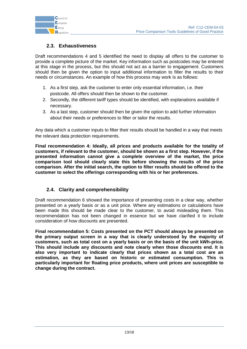

## **2.3. Exhaustiveness**

<span id="page-12-0"></span>Draft recommendations 4 and 5 identified the need to display all offers to the customer to provide a complete picture of the market. Key information such as postcodes may be entered at this stage in the process, but this should not act as a barrier to engagement. Customers should then be given the option to input additional information to filter the results to their needs or circumstances. An example of how this process may work is as follows:

- 1. As a first step, ask the customer to enter only essential information, i.e. their postcode. All offers should then be shown to the customer.
- 2. Secondly, the different tariff types should be identified, with explanations available if necessary.
- 3. As a last step, customer should then be given the option to add further information about their needs or preferences to filter or tailor the results.

Any data which a customer inputs to filter their results should be handled in a way that meets the relevant data protection requirements.

**Final recommendation 4: Ideally, all prices and products available for the totality of customers, if relevant to the customer, should be shown as a first step. However, if the presented information cannot give a complete overview of the market, the price comparison tool should clearly state this before showing the results of the price comparison. After the initial search, the option to filter results should be offered to the customer to select the offerings corresponding with his or her preferences.**

## **2.4. Clarity and comprehensibility**

<span id="page-12-1"></span>Draft recommendation 6 showed the importance of presenting costs in a clear way, whether presented on a yearly basis or as a unit price. Where any estimations or calculations have been made this should be made clear to the customer, to avoid misleading them. This recommendation has not been changed in essence but we have clarified it to include consideration of how discounts are presented.

**Final recommendation 5: Costs presented on the PCT should always be presented on the primary output screen in a way that is clearly understood by the majority of customers, such as total cost on a yearly basis or on the basis of the unit kWh-price. This should include any discounts and note clearly when those discounts end. It is also very important to indicate clearly that prices shown as a total cost are an estimation, as they are based on historic or estimated consumption. This is particularly important for floating price products, where unit prices are susceptible to change during the contract.**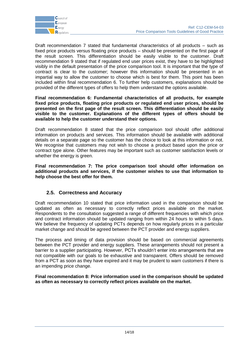

Draft recommendation 7 stated that fundamental characteristics of all products – such as fixed price products versus floating price products – should be presented on the first page of the result screen. This differentiation should be easily visible to the customer. Draft recommendation 9 stated that if regulated end user prices exist, they have to be highlighted visibly in the default presentation of the price comparison tool. It is important that the type of contract is clear to the customer; however this information should be presented in an impartial way to allow the customer to choose which is best for them. This point has been included within final recommendation 6. To further help customers, explanations should be provided of the different types of offers to help them understand the options available.

#### **Final recommendation 6: Fundamental characteristics of all products, for example fixed price products, floating price products or regulated end user prices, should be presented on the first page of the result screen. This differentiation should be easily visible to the customer. Explanations of the different types of offers should be available to help the customer understand their options.**

Draft recommendation 8 stated that the price comparison tool should offer additional information on products and services. This information should be available with additional details on a separate page so the customer has the choice to look at this information or not. We recognise that customers may not wish to choose a product based upon the price or contract type alone. Other features may be important such as customer satisfaction levels or whether the energy is green.

**Final recommendation 7: The price comparison tool should offer information on additional products and services, if the customer wishes to use that information to help choose the best offer for them.** 

## **2.5. Correctness and Accuracy**

<span id="page-13-0"></span>Draft recommendation 10 stated that price information used in the comparison should be updated as often as necessary to correctly reflect prices available on the market. Respondents to the consultation suggested a range of different frequencies with which price and contract information should be updated ranging from within 24 hours to within 5 days. We believe the frequency of updating PCTs depends on how regularly prices in a particular market change and should be agreed between the PCT provider and energy suppliers.

The process and timing of data provision should be based on commercial agreements between the PCT provider and energy suppliers. These arrangements should not present a barrier to a supplier participating. However, PCTs shouldn"t enter into arrangements that are not compatible with our goals to be exhaustive and transparent. Offers should be removed from a PCT as soon as they have expired and it may be prudent to warn customers if there is an impending price change.

**Final recommendation 8: Price information used in the comparison should be updated as often as necessary to correctly reflect prices available on the market.**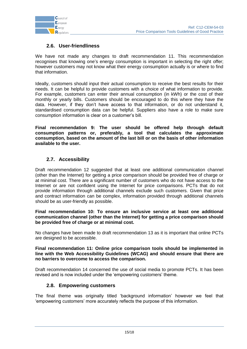

## **2.6. User-friendliness**

<span id="page-14-0"></span>We have not made any changes to draft recommendation 11. This recommendation recognises that knowing one's energy consumption is important in selecting the right offer; however customers may not know what their energy consumption actually is or where to find that information.

Ideally, customers should input their actual consumption to receive the best results for their needs. It can be helpful to provide customers with a choice of what information to provide. For example, customers can enter their annual consumption (in kWh) or the cost of their monthly or yearly bills. Customers should be encouraged to do this where they have the data. However, if they don"t have access to that information, or do not understand it, standardised consumption data can be helpful. Suppliers also have a role to make sure consumption information is clear on a customer"s bill.

**Final recommendation 9: The user should be offered help through default consumption patterns or, preferably, a tool that calculates the approximate consumption, based on the amount of the last bill or on the basis of other information available to the user.**

## **2.7. Accessibility**

<span id="page-14-1"></span>Draft recommendation 12 suggested that at least one additional communication channel (other than the Internet) for getting a price comparison should be provided free of charge or at minimal cost. There are a significant number of customers who do not have access to the Internet or are not confident using the Internet for price comparisons. PCTs that do not provide information through additional channels exclude such customers. Given that price and contract information can be complex, information provided through additional channels should be as user-friendly as possible.

#### **Final recommendation 10: To ensure an inclusive service at least one additional communication channel (other than the Internet) for getting a price comparison should be provided free of charge or at minimal cost.**

No changes have been made to draft recommendation 13 as it is important that online PCTs are designed to be accessible.

**Final recommendation 11: Online price comparison tools should be implemented in line with the Web Accessibility Guidelines (WCAG) and should ensure that there are no barriers to overcome to access the comparison.**

Draft recommendation 14 concerned the use of social media to promote PCTs. It has been revised and is now included under the "empowering customers" theme.

## **2.8. Empowering customers**

<span id="page-14-2"></span>The final theme was originally titled "background information" however we feel that "empowering customers" more accurately reflects the purpose of this information.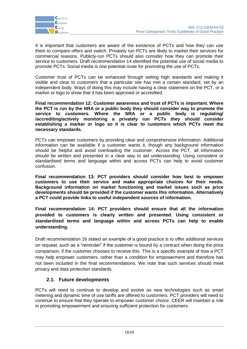

It is important that customers are aware of the existence of PCTs and how they can use them to compare offers and switch. Privately run PCTs are likely to market their services for commercial reasons. Publicly-run PCTs should also consider how they can promote their service to customers. Draft recommendation 14 identified the potential use of social media to promote PCTs. Social media is one potential route for promoting the use of PCTs.

Customer trust of PCTs can be enhanced through setting high standards and making it visible and clear to customers that a particular site has met a certain standard, set by an independent body. Ways of doing this may include having a clear statement on the PCT, or a marker or logo to show that it has been approved or accredited.

**Final recommendation 12: Customer awareness and trust of PCTs is important. Where the PCT is run by the NRA or a public body they should consider way to promote the service to customers. Where the NRA or a public body is regulating/ /accrediting/actively monitoring a privately run PCTs they should consider establishing a marker or logo so it is clear to customers which PCTs meet the necessary standards.** 

PCTs can empower customers by providing clear and comprehensive information. Additional information can be available if a customer wants it, though any background information should be helpful and avoid overloading the customer. Across the PCT, all information should be written and presented in a clear way to aid understanding. Using consistent or standardised terms and language within and across PCTs can help to avoid customer confusion.

**Final recommendation 13: PCT providers should consider how best to empower customers to use their service and make appropriate choices for their needs. Background information on market functioning and market issues such as price developments should be provided if the customer wants this information. Alternatively a PCT could provide links to useful independent sources of information.** 

**Final recommendation 14: PCT providers should ensure that all the information provided to customers is clearly written and presented. Using consistent or standardised terms and language within and across PCTs can help to enable understanding.** 

Draft recommendation 16 stated an example of a good practice is to offer additional services on request, such as a "reminder" if the customer is bound by a contract when doing the price comparison, if the customer chooses to receive this. This is a specific example of how a PCT may help empower customers, rather than a condition for empowerment and therefore has not been included in the final recommendations. We note that such services should meet privacy and data protection standards.

## **2.1. Future developments**

<span id="page-15-0"></span>PCTs will need to continue to develop and evolve as new technologies such as smart metering and dynamic time of use tariffs are offered to customers. PCT providers will need to continue to ensure that they operate to empower customer choice. CEER will maintain a role in promoting empowerment and ensuring sufficient protection for customers.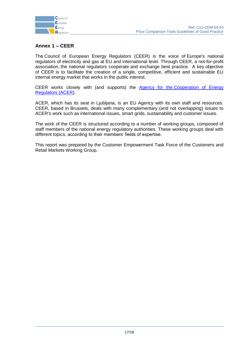

## <span id="page-16-0"></span>**Annex 1 – CEER**

The Council of European Energy Regulators (CEER) is the voice of Europe's national regulators of electricity and gas at EU and international level. Through CEER, a not-for-profit association, the national regulators cooperate and exchange best practice. A key objective of CEER is to facilitate the creation of a single, competitive, efficient and sustainable EU internal energy market that works in the public interest.

CEER works closely with (and supports) the Agency for the Cooperation of Energy [Regulators \(ACER\)](http://www.acer.europa.eu/portal/page/portal/ACER_HOME).

ACER, which has its seat in Ljubljana, is an EU Agency with its own staff and resources. CEER, based in Brussels, deals with many complementary (and not overlapping) issues to ACER's work such as international issues, smart grids, sustainability and customer issues.

The work of the CEER is structured according to a number of working groups, composed of staff members of the national energy regulatory authorities. These working groups deal with different topics, according to their members' fields of expertise.

This report was prepared by the Customer Empowerment Task Force of the Customers and Retail Markets Working Group.